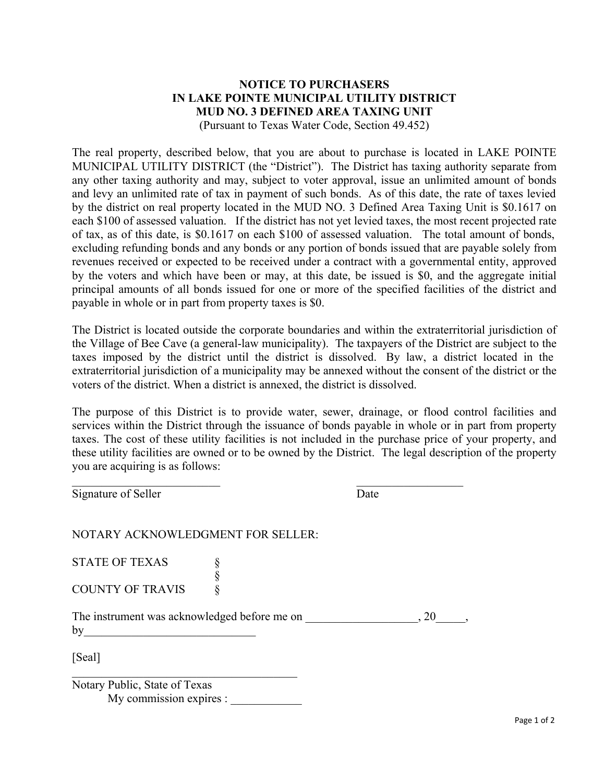## **NOTICE TO PURCHASERS IN LAKE POINTE MUNICIPAL UTILITY DISTRICT MUD NO. 3 DEFINED AREA TAXING UNIT** (Pursuant to Texas Water Code, Section 49.452)

The real property, described below, that you are about to purchase is located in LAKE POINTE MUNICIPAL UTILITY DISTRICT (the "District"). The District has taxing authority separate from any other taxing authority and may, subject to voter approval, issue an unlimited amount of bonds and levy an unlimited rate of tax in payment of such bonds. As of this date, the rate of taxes levied by the district on real property located in the MUD NO. 3 Defined Area Taxing Unit is \$0.1617 on each \$100 of assessed valuation. If the district has not yet levied taxes, the most recent projected rate of tax, as of this date, is \$0.1617 on each \$100 of assessed valuation. The total amount of bonds, excluding refunding bonds and any bonds or any portion of bonds issued that are payable solely from revenues received or expected to be received under a contract with a governmental entity, approved by the voters and which have been or may, at this date, be issued is \$0, and the aggregate initial principal amounts of all bonds issued for one or more of the specified facilities of the district and payable in whole or in part from property taxes is \$0.

The District is located outside the corporate boundaries and within the extraterritorial jurisdiction of the Village of Bee Cave (a general-law municipality). The taxpayers of the District are subject to the taxes imposed by the district until the district is dissolved. By law, a district located in the extraterritorial jurisdiction of a municipality may be annexed without the consent of the district or the voters of the district. When a district is annexed, the district is dissolved.

The purpose of this District is to provide water, sewer, drainage, or flood control facilities and services within the District through the issuance of bonds payable in whole or in part from property taxes. The cost of these utility facilities is not included in the purchase price of your property, and these utility facilities are owned or to be owned by the District. The legal description of the property you are acquiring is as follows:

Signature of Seller Date NOTARY ACKNOWLEDGMENT FOR SELLER: STATE OF TEXAS §<br>§<br>§ COUNTY OF TRAVIS The instrument was acknowledged before me on  $\,$ , 20  $by$ [Seal]  $\mathcal{L}_\text{max}$  and  $\mathcal{L}_\text{max}$  and  $\mathcal{L}_\text{max}$  and  $\mathcal{L}_\text{max}$ Notary Public, State of Texas

My commission expires :